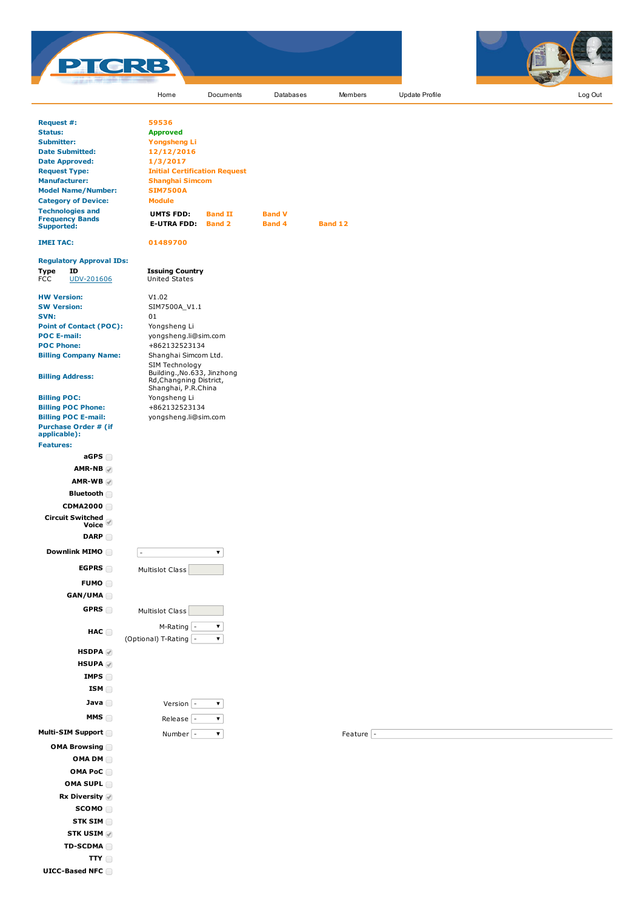



|                                                           | Home                                                   | Documents          | Databases     | Members           | Update Profile | Log Out |
|-----------------------------------------------------------|--------------------------------------------------------|--------------------|---------------|-------------------|----------------|---------|
|                                                           |                                                        |                    |               |                   |                |         |
| Request #:<br><b>Status:</b>                              | 59536<br><b>Approved</b>                               |                    |               |                   |                |         |
| <b>Submitter:</b>                                         | <b>Yongsheng Li</b>                                    |                    |               |                   |                |         |
| <b>Date Submitted:</b>                                    | 12/12/2016                                             |                    |               |                   |                |         |
| <b>Date Approved:</b>                                     | 1/3/2017                                               |                    |               |                   |                |         |
| <b>Request Type:</b>                                      | <b>Initial Certification Request</b>                   |                    |               |                   |                |         |
| <b>Manufacturer:</b>                                      | <b>Shanghai Simcom</b>                                 |                    |               |                   |                |         |
| <b>Model Name/Number:</b>                                 | <b>SIM7500A</b>                                        |                    |               |                   |                |         |
| <b>Category of Device:</b>                                | <b>Module</b>                                          |                    |               |                   |                |         |
| <b>Technologies and</b>                                   | <b>UMTS FDD:</b>                                       | <b>Band II</b>     | <b>Band V</b> |                   |                |         |
| <b>Frequency Bands</b><br><b>Supported:</b>               | <b>E-UTRA FDD:</b>                                     | <b>Band 2</b>      | <b>Band 4</b> | <b>Band 12</b>    |                |         |
| <b>IMEI TAC:</b>                                          | 01489700                                               |                    |               |                   |                |         |
| <b>Regulatory Approval IDs:</b>                           |                                                        |                    |               |                   |                |         |
| <b>Type</b><br>ID<br><b>FCC</b><br>UDV-201606             | <b>Issuing Country</b><br>United States                |                    |               |                   |                |         |
| <b>HW Version:</b>                                        | V1.02                                                  |                    |               |                   |                |         |
| <b>SW Version:</b>                                        | SIM7500A_V1.1                                          |                    |               |                   |                |         |
| SVN:                                                      | 01                                                     |                    |               |                   |                |         |
| <b>Point of Contact (POC):</b>                            | Yongsheng Li                                           |                    |               |                   |                |         |
| <b>POC E-mail:</b>                                        | yongsheng.li@sim.com                                   |                    |               |                   |                |         |
| <b>POC Phone:</b>                                         | +862132523134                                          |                    |               |                   |                |         |
| <b>Billing Company Name:</b>                              | Shanghai Simcom Ltd.<br>SIM Technology                 |                    |               |                   |                |         |
| <b>Billing Address:</b>                                   | Building., No.633, Jinzhong<br>Rd, Changning District, |                    |               |                   |                |         |
|                                                           | Shanghai, P.R.China                                    |                    |               |                   |                |         |
| <b>Billing POC:</b>                                       | Yongsheng Li                                           |                    |               |                   |                |         |
| <b>Billing POC Phone:</b>                                 | +862132523134                                          |                    |               |                   |                |         |
| <b>Billing POC E-mail:</b><br><b>Purchase Order # (if</b> | yongsheng.li@sim.com                                   |                    |               |                   |                |         |
| applicable):<br><b>Features:</b>                          |                                                        |                    |               |                   |                |         |
| aGPS                                                      |                                                        |                    |               |                   |                |         |
|                                                           |                                                        |                    |               |                   |                |         |
| $AMR-NB \swarrow$                                         |                                                        |                    |               |                   |                |         |
| $AMR-WB$                                                  |                                                        |                    |               |                   |                |         |
| Bluetooth                                                 |                                                        |                    |               |                   |                |         |
| <b>CDMA2000</b>                                           |                                                        |                    |               |                   |                |         |
|                                                           |                                                        |                    |               |                   |                |         |
| Circuit Switched<br>■ Voice                               |                                                        |                    |               |                   |                |         |
| <b>DARP</b>                                               |                                                        |                    |               |                   |                |         |
| Downlink MIMO                                             |                                                        | $\pmb{\mathrm{v}}$ |               |                   |                |         |
| <b>EGPRS</b>                                              | Multislot Class                                        |                    |               |                   |                |         |
| FUMO O                                                    |                                                        |                    |               |                   |                |         |
| GAN/UMA                                                   |                                                        |                    |               |                   |                |         |
| GPRS                                                      | Multislot Class                                        |                    |               |                   |                |         |
|                                                           | M-Rating -                                             | ▼                  |               |                   |                |         |
| HAC                                                       | (Optional) T-Rating  -                                 | $\pmb{\mathrm{v}}$ |               |                   |                |         |
| HSDPA                                                     |                                                        |                    |               |                   |                |         |
| <b>HSUPA</b>                                              |                                                        |                    |               |                   |                |         |
| IMPS $\Box$                                               |                                                        |                    |               |                   |                |         |
| ISM                                                       |                                                        |                    |               |                   |                |         |
| Java $\Box$                                               | Version $\vert$ -                                      | $\pmb{\mathrm{v}}$ |               |                   |                |         |
| MMS                                                       | Release $\vert$ -                                      | $\pmb{\mathrm{v}}$ |               |                   |                |         |
| Multi-SIM Support                                         | Number $\vert$ -                                       | $\pmb{\mathrm{v}}$ |               | Feature $\vert$ - |                |         |
| OMA Browsing                                              |                                                        |                    |               |                   |                |         |
|                                                           |                                                        |                    |               |                   |                |         |
| OMA DM                                                    |                                                        |                    |               |                   |                |         |
| OMA PoC                                                   |                                                        |                    |               |                   |                |         |
| OMA SUPL <b>OMA</b>                                       |                                                        |                    |               |                   |                |         |
| <b>Rx Diversity</b> ✔                                     |                                                        |                    |               |                   |                |         |
|                                                           |                                                        |                    |               |                   |                |         |
| SCOMO                                                     |                                                        |                    |               |                   |                |         |
| STK SIM                                                   |                                                        |                    |               |                   |                |         |
| <b>STK USIM</b>                                           |                                                        |                    |               |                   |                |         |

TTY UICC-Based NFC

TD-SCDMA